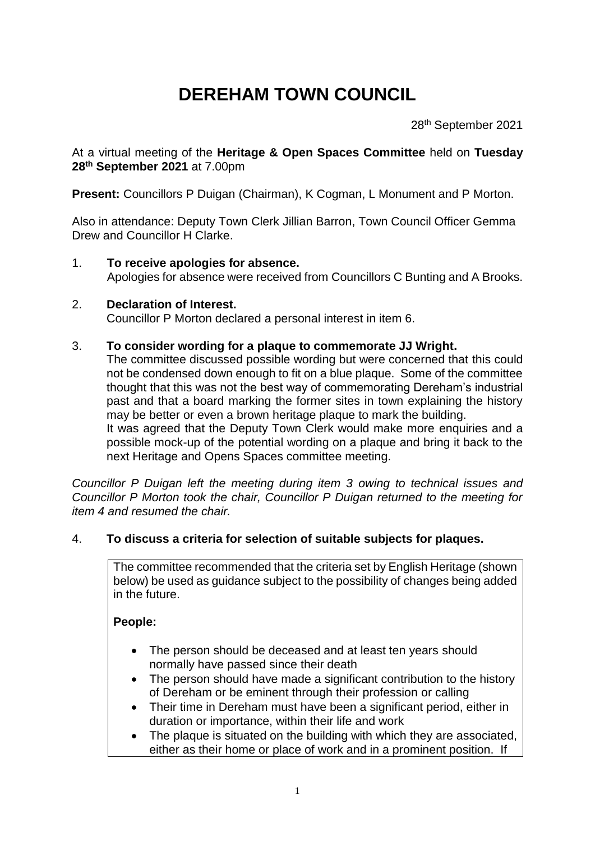# **DEREHAM TOWN COUNCIL**

28<sup>th</sup> September 2021

At a virtual meeting of the **Heritage & Open Spaces Committee** held on **Tuesday 28 th September 2021** at 7.00pm

**Present:** Councillors P Duigan (Chairman), K Cogman, L Monument and P Morton.

Also in attendance: Deputy Town Clerk Jillian Barron, Town Council Officer Gemma Drew and Councillor H Clarke.

#### 1. **To receive apologies for absence.** Apologies for absence were received from Councillors C Bunting and A Brooks.

### 2. **Declaration of Interest.**

Councillor P Morton declared a personal interest in item 6.

#### 3. **To consider wording for a plaque to commemorate JJ Wright.**

The committee discussed possible wording but were concerned that this could not be condensed down enough to fit on a blue plaque. Some of the committee thought that this was not the best way of commemorating Dereham's industrial past and that a board marking the former sites in town explaining the history may be better or even a brown heritage plaque to mark the building.

It was agreed that the Deputy Town Clerk would make more enquiries and a possible mock-up of the potential wording on a plaque and bring it back to the next Heritage and Opens Spaces committee meeting.

*Councillor P Duigan left the meeting during item 3 owing to technical issues and Councillor P Morton took the chair, Councillor P Duigan returned to the meeting for item 4 and resumed the chair.* 

### 4. **To discuss a criteria for selection of suitable subjects for plaques.**

The committee recommended that the criteria set by English Heritage (shown below) be used as guidance subject to the possibility of changes being added in the future.

#### **People:**

- The person should be deceased and at least ten years should normally have passed since their death
- The person should have made a significant contribution to the history of Dereham or be eminent through their profession or calling
- Their time in Dereham must have been a significant period, either in duration or importance, within their life and work
- The plaque is situated on the building with which they are associated, either as their home or place of work and in a prominent position. If